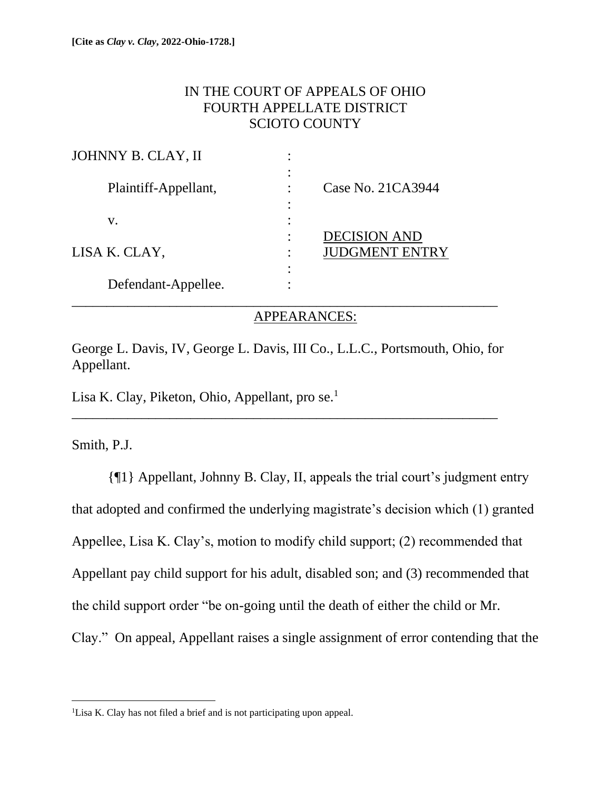## IN THE COURT OF APPEALS OF OHIO FOURTH APPELLATE DISTRICT SCIOTO COUNTY

| JOHNNY B. CLAY, II   | ٠                                                           |
|----------------------|-------------------------------------------------------------|
| Plaintiff-Appellant, | ٠<br>Case No. 21CA3944<br>٠                                 |
| V.                   |                                                             |
| LISA K. CLAY,        | <b>DECISION AND</b><br>٠<br><b>JUDGMENT ENTRY</b><br>٠<br>٠ |
| Defendant-Appellee.  | ٠                                                           |

### APPEARANCES:

George L. Davis, IV, George L. Davis, III Co., L.L.C., Portsmouth, Ohio, for Appellant.

\_\_\_\_\_\_\_\_\_\_\_\_\_\_\_\_\_\_\_\_\_\_\_\_\_\_\_\_\_\_\_\_\_\_\_\_\_\_\_\_\_\_\_\_\_\_\_\_\_\_\_\_\_\_\_\_\_\_\_\_\_

Lisa K. Clay, Piketon, Ohio, Appellant, pro se.<sup>1</sup>

Smith, P.J.

{¶1} Appellant, Johnny B. Clay, II, appeals the trial court's judgment entry that adopted and confirmed the underlying magistrate's decision which (1) granted Appellee, Lisa K. Clay's, motion to modify child support; (2) recommended that Appellant pay child support for his adult, disabled son; and (3) recommended that the child support order "be on-going until the death of either the child or Mr. Clay." On appeal, Appellant raises a single assignment of error contending that the

<sup>&</sup>lt;sup>1</sup>Lisa K. Clay has not filed a brief and is not participating upon appeal.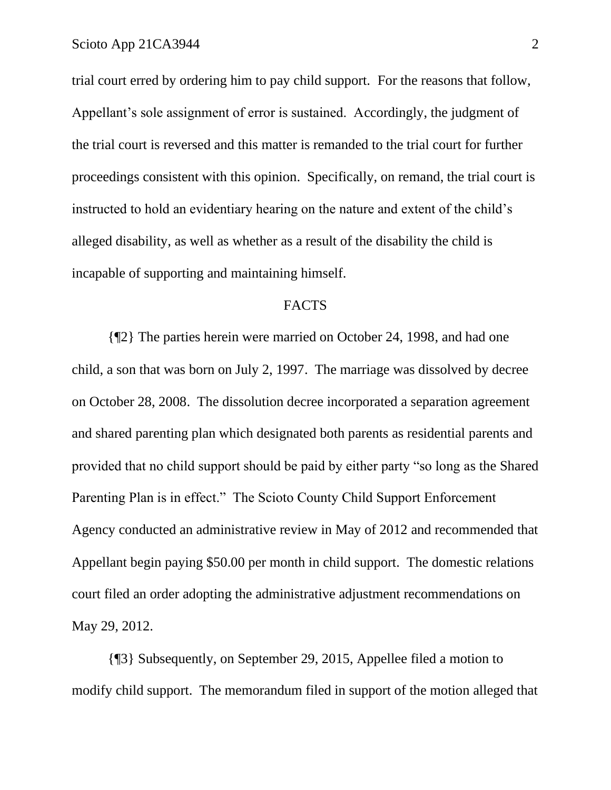trial court erred by ordering him to pay child support. For the reasons that follow, Appellant's sole assignment of error is sustained. Accordingly, the judgment of the trial court is reversed and this matter is remanded to the trial court for further proceedings consistent with this opinion. Specifically, on remand, the trial court is instructed to hold an evidentiary hearing on the nature and extent of the child's alleged disability, as well as whether as a result of the disability the child is incapable of supporting and maintaining himself.

#### FACTS

{¶2} The parties herein were married on October 24, 1998, and had one child, a son that was born on July 2, 1997. The marriage was dissolved by decree on October 28, 2008. The dissolution decree incorporated a separation agreement and shared parenting plan which designated both parents as residential parents and provided that no child support should be paid by either party "so long as the Shared Parenting Plan is in effect." The Scioto County Child Support Enforcement Agency conducted an administrative review in May of 2012 and recommended that Appellant begin paying \$50.00 per month in child support. The domestic relations court filed an order adopting the administrative adjustment recommendations on May 29, 2012.

{¶3} Subsequently, on September 29, 2015, Appellee filed a motion to modify child support. The memorandum filed in support of the motion alleged that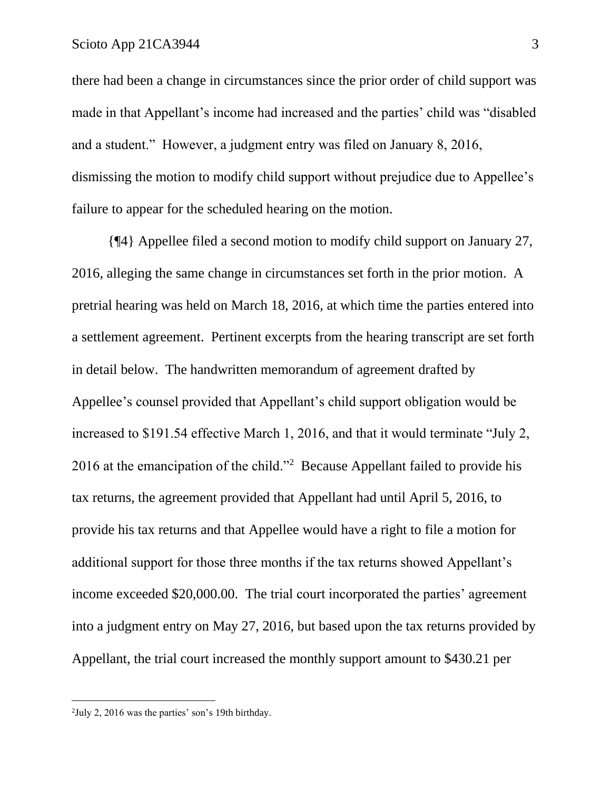there had been a change in circumstances since the prior order of child support was made in that Appellant's income had increased and the parties' child was "disabled and a student." However, a judgment entry was filed on January 8, 2016, dismissing the motion to modify child support without prejudice due to Appellee's failure to appear for the scheduled hearing on the motion.

{¶4} Appellee filed a second motion to modify child support on January 27, 2016, alleging the same change in circumstances set forth in the prior motion. A pretrial hearing was held on March 18, 2016, at which time the parties entered into a settlement agreement. Pertinent excerpts from the hearing transcript are set forth in detail below. The handwritten memorandum of agreement drafted by Appellee's counsel provided that Appellant's child support obligation would be increased to \$191.54 effective March 1, 2016, and that it would terminate "July 2, 2016 at the emancipation of the child."<sup>2</sup> Because Appellant failed to provide his tax returns, the agreement provided that Appellant had until April 5, 2016, to provide his tax returns and that Appellee would have a right to file a motion for additional support for those three months if the tax returns showed Appellant's income exceeded \$20,000.00. The trial court incorporated the parties' agreement into a judgment entry on May 27, 2016, but based upon the tax returns provided by Appellant, the trial court increased the monthly support amount to \$430.21 per

<sup>2</sup> July 2, 2016 was the parties' son's 19th birthday.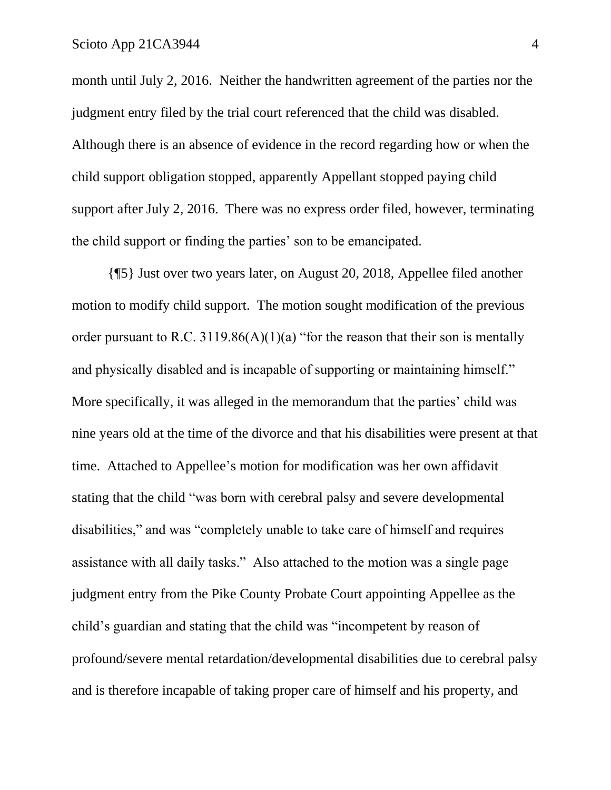month until July 2, 2016. Neither the handwritten agreement of the parties nor the judgment entry filed by the trial court referenced that the child was disabled. Although there is an absence of evidence in the record regarding how or when the child support obligation stopped, apparently Appellant stopped paying child support after July 2, 2016. There was no express order filed, however, terminating the child support or finding the parties' son to be emancipated.

{¶5} Just over two years later, on August 20, 2018, Appellee filed another motion to modify child support. The motion sought modification of the previous order pursuant to R.C. 3119.86(A)(1)(a) "for the reason that their son is mentally and physically disabled and is incapable of supporting or maintaining himself." More specifically, it was alleged in the memorandum that the parties' child was nine years old at the time of the divorce and that his disabilities were present at that time. Attached to Appellee's motion for modification was her own affidavit stating that the child "was born with cerebral palsy and severe developmental disabilities," and was "completely unable to take care of himself and requires assistance with all daily tasks." Also attached to the motion was a single page judgment entry from the Pike County Probate Court appointing Appellee as the child's guardian and stating that the child was "incompetent by reason of profound/severe mental retardation/developmental disabilities due to cerebral palsy and is therefore incapable of taking proper care of himself and his property, and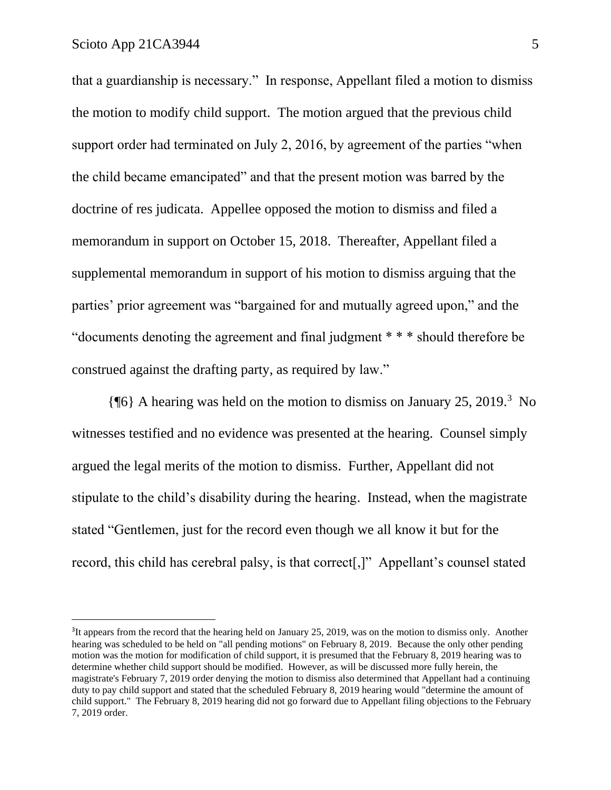that a guardianship is necessary." In response, Appellant filed a motion to dismiss the motion to modify child support. The motion argued that the previous child support order had terminated on July 2, 2016, by agreement of the parties "when the child became emancipated" and that the present motion was barred by the doctrine of res judicata. Appellee opposed the motion to dismiss and filed a memorandum in support on October 15, 2018. Thereafter, Appellant filed a supplemental memorandum in support of his motion to dismiss arguing that the parties' prior agreement was "bargained for and mutually agreed upon," and the "documents denoting the agreement and final judgment \* \* \* should therefore be construed against the drafting party, as required by law."

{¶6} A hearing was held on the motion to dismiss on January 25, 2019.<sup>3</sup> No witnesses testified and no evidence was presented at the hearing. Counsel simply argued the legal merits of the motion to dismiss. Further, Appellant did not stipulate to the child's disability during the hearing. Instead, when the magistrate stated "Gentlemen, just for the record even though we all know it but for the record, this child has cerebral palsy, is that correct[,]" Appellant's counsel stated

<sup>&</sup>lt;sup>3</sup>It appears from the record that the hearing held on January 25, 2019, was on the motion to dismiss only. Another hearing was scheduled to be held on "all pending motions" on February 8, 2019. Because the only other pending motion was the motion for modification of child support, it is presumed that the February 8, 2019 hearing was to determine whether child support should be modified. However, as will be discussed more fully herein, the magistrate's February 7, 2019 order denying the motion to dismiss also determined that Appellant had a continuing duty to pay child support and stated that the scheduled February 8, 2019 hearing would "determine the amount of child support." The February 8, 2019 hearing did not go forward due to Appellant filing objections to the February 7, 2019 order.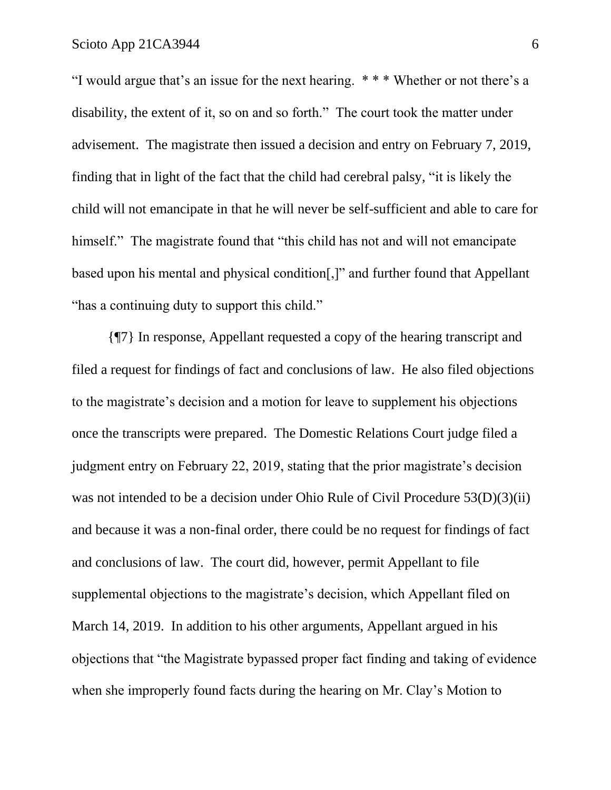"I would argue that's an issue for the next hearing. \* \* \* Whether or not there's a disability, the extent of it, so on and so forth." The court took the matter under advisement. The magistrate then issued a decision and entry on February 7, 2019, finding that in light of the fact that the child had cerebral palsy, "it is likely the child will not emancipate in that he will never be self-sufficient and able to care for himself." The magistrate found that "this child has not and will not emancipate based upon his mental and physical condition[,]" and further found that Appellant "has a continuing duty to support this child."

{¶7} In response, Appellant requested a copy of the hearing transcript and filed a request for findings of fact and conclusions of law. He also filed objections to the magistrate's decision and a motion for leave to supplement his objections once the transcripts were prepared. The Domestic Relations Court judge filed a judgment entry on February 22, 2019, stating that the prior magistrate's decision was not intended to be a decision under Ohio Rule of Civil Procedure 53(D)(3)(ii) and because it was a non-final order, there could be no request for findings of fact and conclusions of law. The court did, however, permit Appellant to file supplemental objections to the magistrate's decision, which Appellant filed on March 14, 2019. In addition to his other arguments, Appellant argued in his objections that "the Magistrate bypassed proper fact finding and taking of evidence when she improperly found facts during the hearing on Mr. Clay's Motion to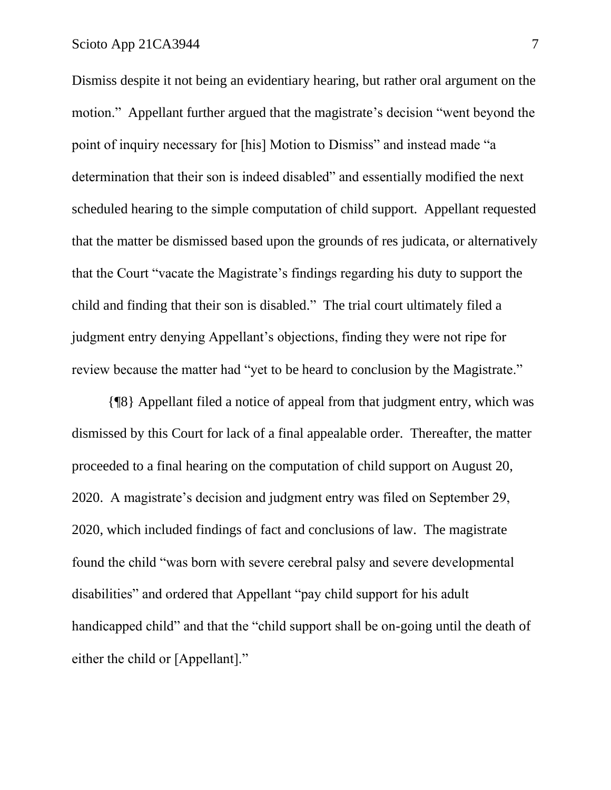Dismiss despite it not being an evidentiary hearing, but rather oral argument on the motion." Appellant further argued that the magistrate's decision "went beyond the point of inquiry necessary for [his] Motion to Dismiss" and instead made "a determination that their son is indeed disabled" and essentially modified the next scheduled hearing to the simple computation of child support. Appellant requested that the matter be dismissed based upon the grounds of res judicata, or alternatively that the Court "vacate the Magistrate's findings regarding his duty to support the child and finding that their son is disabled." The trial court ultimately filed a judgment entry denying Appellant's objections, finding they were not ripe for review because the matter had "yet to be heard to conclusion by the Magistrate."

{¶8} Appellant filed a notice of appeal from that judgment entry, which was dismissed by this Court for lack of a final appealable order. Thereafter, the matter proceeded to a final hearing on the computation of child support on August 20, 2020. A magistrate's decision and judgment entry was filed on September 29, 2020, which included findings of fact and conclusions of law. The magistrate found the child "was born with severe cerebral palsy and severe developmental disabilities" and ordered that Appellant "pay child support for his adult handicapped child" and that the "child support shall be on-going until the death of either the child or [Appellant]."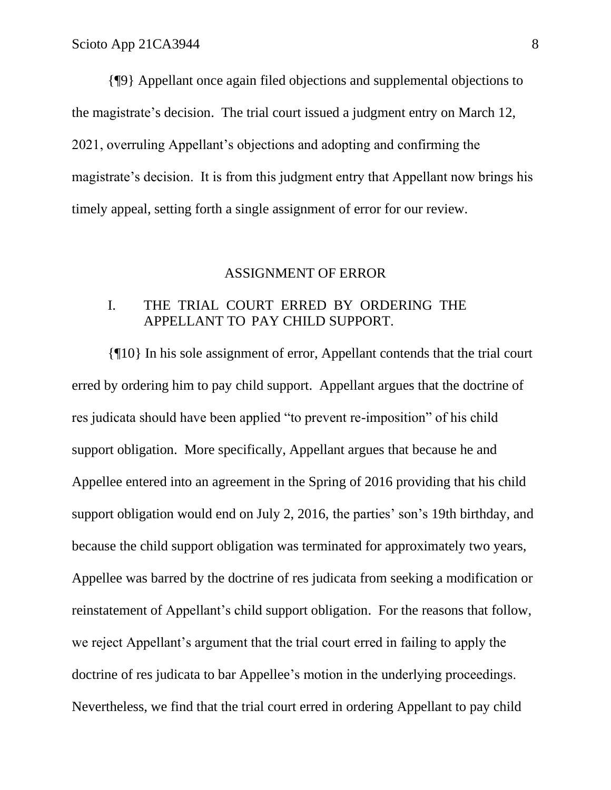{¶9} Appellant once again filed objections and supplemental objections to the magistrate's decision. The trial court issued a judgment entry on March 12, 2021, overruling Appellant's objections and adopting and confirming the magistrate's decision. It is from this judgment entry that Appellant now brings his timely appeal, setting forth a single assignment of error for our review.

#### ASSIGNMENT OF ERROR

### I. THE TRIAL COURT ERRED BY ORDERING THE APPELLANT TO PAY CHILD SUPPORT.

{¶10} In his sole assignment of error, Appellant contends that the trial court erred by ordering him to pay child support. Appellant argues that the doctrine of res judicata should have been applied "to prevent re-imposition" of his child support obligation. More specifically, Appellant argues that because he and Appellee entered into an agreement in the Spring of 2016 providing that his child support obligation would end on July 2, 2016, the parties' son's 19th birthday, and because the child support obligation was terminated for approximately two years, Appellee was barred by the doctrine of res judicata from seeking a modification or reinstatement of Appellant's child support obligation. For the reasons that follow, we reject Appellant's argument that the trial court erred in failing to apply the doctrine of res judicata to bar Appellee's motion in the underlying proceedings. Nevertheless, we find that the trial court erred in ordering Appellant to pay child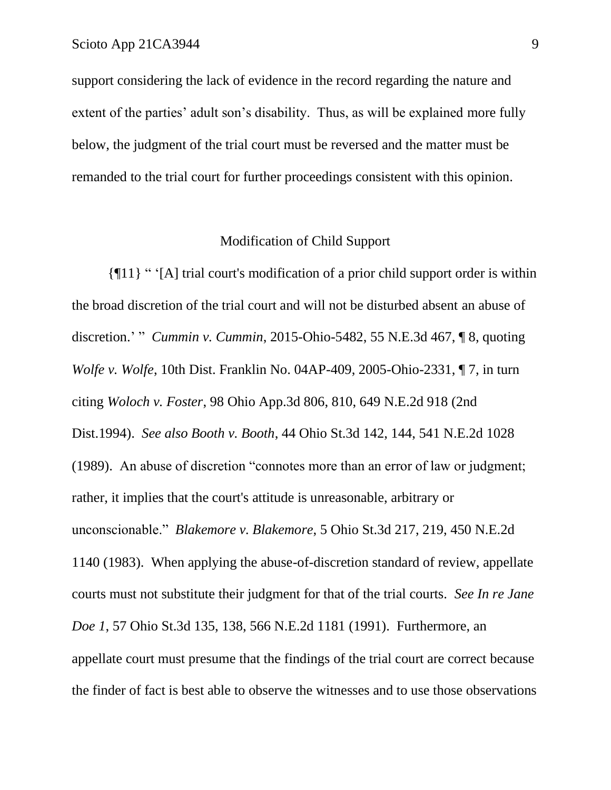support considering the lack of evidence in the record regarding the nature and extent of the parties' adult son's disability. Thus, as will be explained more fully below, the judgment of the trial court must be reversed and the matter must be remanded to the trial court for further proceedings consistent with this opinion.

### Modification of Child Support

{¶11} " '[A] trial court's modification of a prior child support order is within the broad discretion of the trial court and will not be disturbed absent an abuse of discretion.' " *Cummin v. Cummin*, 2015-Ohio-5482, 55 N.E.3d 467, ¶ 8, quoting *Wolfe v. Wolfe*, 10th Dist. Franklin No. 04AP-409, 2005-Ohio-2331, ¶ 7, in turn citing *Woloch v. Foster*, 98 Ohio App.3d 806, 810, 649 N.E.2d 918 (2nd Dist.1994). *See also Booth v. Booth*, 44 Ohio St.3d 142, 144, 541 N.E.2d 1028 (1989). An abuse of discretion "connotes more than an error of law or judgment; rather, it implies that the court's attitude is unreasonable, arbitrary or unconscionable." *Blakemore v. Blakemore*, 5 Ohio St.3d 217, 219, 450 N.E.2d 1140 (1983). When applying the abuse-of-discretion standard of review, appellate courts must not substitute their judgment for that of the trial courts. *See In re Jane Doe 1*, 57 Ohio St.3d 135, 138, 566 N.E.2d 1181 (1991). Furthermore, an appellate court must presume that the findings of the trial court are correct because the finder of fact is best able to observe the witnesses and to use those observations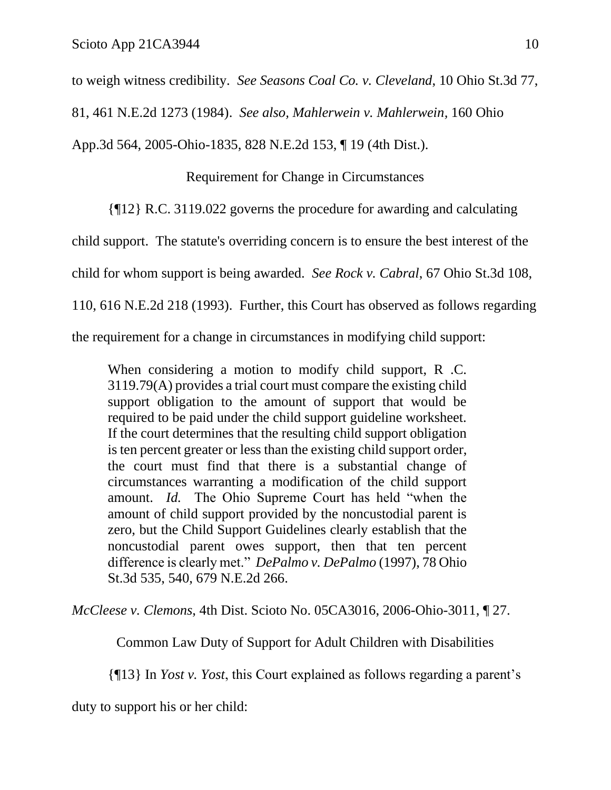to weigh witness credibility. *See Seasons Coal Co. v. Cleveland*, 10 Ohio St.3d 77,

81, 461 N.E.2d 1273 (1984). *See also, Mahlerwein v. Mahlerwein,* 160 Ohio

App.3d 564, 2005-Ohio-1835, 828 N.E.2d 153, ¶ 19 (4th Dist.).

Requirement for Change in Circumstances

{¶12} R.C. 3119.022 governs the procedure for awarding and calculating

child support. The statute's overriding concern is to ensure the best interest of the

child for whom support is being awarded. *See Rock v. Cabral*, 67 Ohio St.3d 108,

110, 616 N.E.2d 218 (1993). Further, this Court has observed as follows regarding

the requirement for a change in circumstances in modifying child support:

When considering a motion to modify child support, R.C. 3119.79(A) provides a trial court must compare the existing child support obligation to the amount of support that would be required to be paid under the child support guideline worksheet. If the court determines that the resulting child support obligation is ten percent greater or less than the existing child support order, the court must find that there is a substantial change of circumstances warranting a modification of the child support amount. *Id.* The Ohio Supreme Court has held "when the amount of child support provided by the noncustodial parent is zero, but the Child Support Guidelines clearly establish that the noncustodial parent owes support, then that ten percent difference is clearly met." *DePalmo v. DePalmo* (1997), 78 Ohio St.3d 535, 540, 679 N.E.2d 266.

*McCleese v. Clemons*, 4th Dist. Scioto No. 05CA3016, 2006-Ohio-3011, ¶ 27.

Common Law Duty of Support for Adult Children with Disabilities

{¶13} In *Yost v. Yost*, this Court explained as follows regarding a parent's

duty to support his or her child: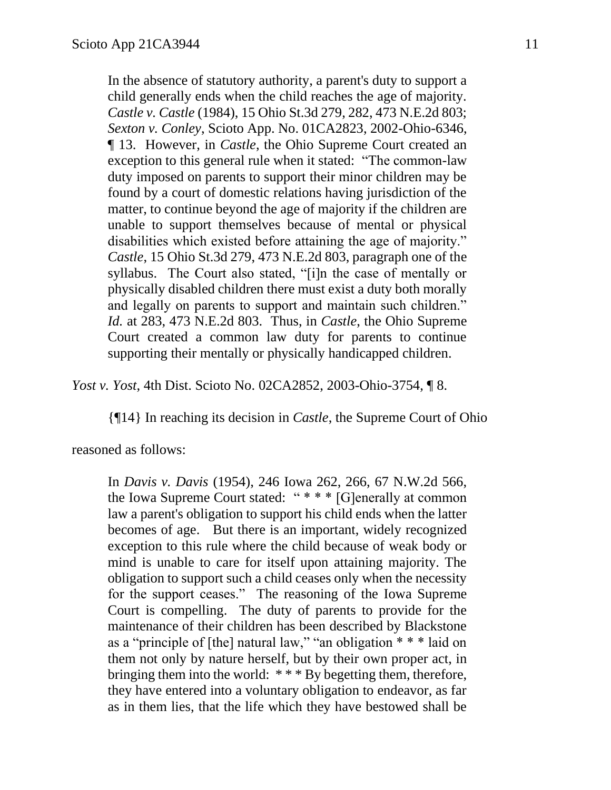In the absence of statutory authority, a parent's duty to support a child generally ends when the child reaches the age of majority. *Castle v. Castle* (1984), 15 Ohio St.3d 279, 282, 473 N.E.2d 803; *Sexton v. Conley*, Scioto App. No. 01CA2823, 2002-Ohio-6346, ¶ 13. However, in *Castle*, the Ohio Supreme Court created an exception to this general rule when it stated: "The common-law duty imposed on parents to support their minor children may be found by a court of domestic relations having jurisdiction of the matter, to continue beyond the age of majority if the children are unable to support themselves because of mental or physical disabilities which existed before attaining the age of majority." *Castle*, 15 Ohio St.3d 279, 473 N.E.2d 803, paragraph one of the syllabus. The Court also stated, "[i]n the case of mentally or physically disabled children there must exist a duty both morally and legally on parents to support and maintain such children." *Id.* at 283, 473 N.E.2d 803. Thus, in *Castle*, the Ohio Supreme Court created a common law duty for parents to continue supporting their mentally or physically handicapped children.

*Yost v. Yost*, 4th Dist. Scioto No. 02CA2852, 2003-Ohio-3754, ¶ 8.

{¶14} In reaching its decision in *Castle*, the Supreme Court of Ohio

reasoned as follows:

In *Davis v. Davis* (1954), 246 Iowa 262, 266, 67 N.W.2d 566, the Iowa Supreme Court stated: " \* \* \* [G]enerally at common law a parent's obligation to support his child ends when the latter becomes of age. But there is an important, widely recognized exception to this rule where the child because of weak body or mind is unable to care for itself upon attaining majority. The obligation to support such a child ceases only when the necessity for the support ceases." The reasoning of the Iowa Supreme Court is compelling. The duty of parents to provide for the maintenance of their children has been described by Blackstone as a "principle of [the] natural law," "an obligation \* \* \* laid on them not only by nature herself, but by their own proper act, in bringing them into the world: \* \* \* By begetting them, therefore, they have entered into a voluntary obligation to endeavor, as far as in them lies, that the life which they have bestowed shall be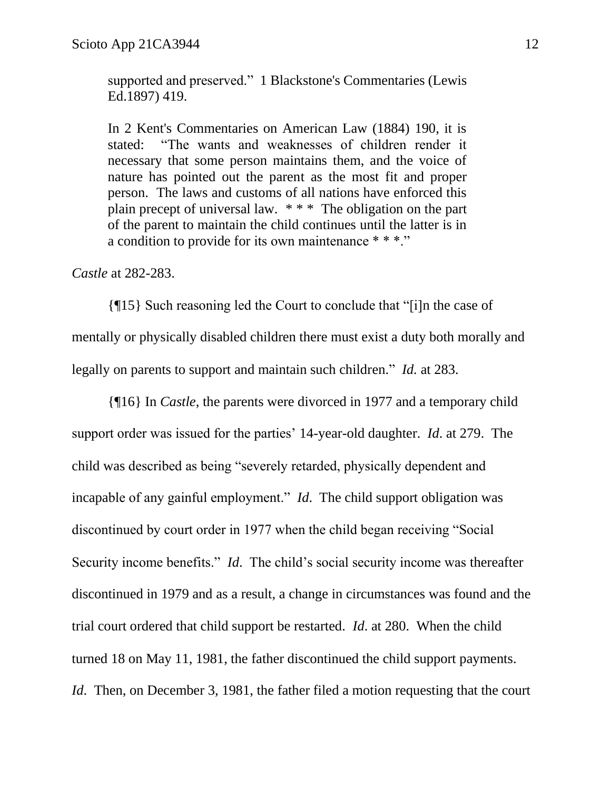supported and preserved." 1 Blackstone's Commentaries (Lewis Ed.1897) 419.

In 2 Kent's Commentaries on American Law (1884) 190, it is stated: "The wants and weaknesses of children render it necessary that some person maintains them, and the voice of nature has pointed out the parent as the most fit and proper person. The laws and customs of all nations have enforced this plain precept of universal law. \* \* \* The obligation on the part of the parent to maintain the child continues until the latter is in a condition to provide for its own maintenance \* \* \*."

#### *Castle* at 282-283.

{¶15} Such reasoning led the Court to conclude that "[i]n the case of mentally or physically disabled children there must exist a duty both morally and legally on parents to support and maintain such children." *Id.* at 283.

{¶16} In *Castle*, the parents were divorced in 1977 and a temporary child support order was issued for the parties' 14-year-old daughter. *Id*. at 279. The child was described as being "severely retarded, physically dependent and incapable of any gainful employment." *Id*. The child support obligation was discontinued by court order in 1977 when the child began receiving "Social Security income benefits." *Id*. The child's social security income was thereafter discontinued in 1979 and as a result, a change in circumstances was found and the trial court ordered that child support be restarted. *Id*. at 280. When the child turned 18 on May 11, 1981, the father discontinued the child support payments. *Id.* Then, on December 3, 1981, the father filed a motion requesting that the court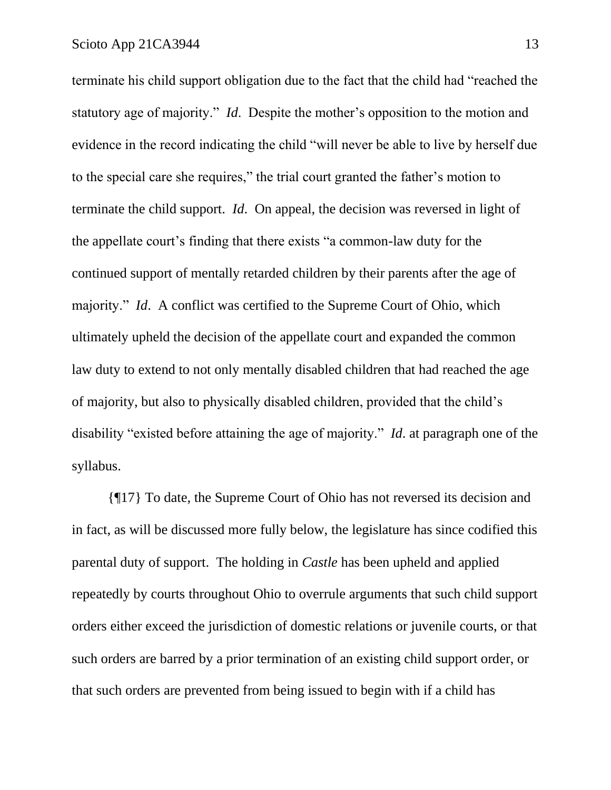terminate his child support obligation due to the fact that the child had "reached the statutory age of majority." *Id*. Despite the mother's opposition to the motion and evidence in the record indicating the child "will never be able to live by herself due to the special care she requires," the trial court granted the father's motion to terminate the child support. *Id*. On appeal, the decision was reversed in light of the appellate court's finding that there exists "a common-law duty for the continued support of mentally retarded children by their parents after the age of majority." *Id*. A conflict was certified to the Supreme Court of Ohio, which ultimately upheld the decision of the appellate court and expanded the common law duty to extend to not only mentally disabled children that had reached the age of majority, but also to physically disabled children, provided that the child's disability "existed before attaining the age of majority." *Id*. at paragraph one of the syllabus.

{¶17} To date, the Supreme Court of Ohio has not reversed its decision and in fact, as will be discussed more fully below, the legislature has since codified this parental duty of support. The holding in *Castle* has been upheld and applied repeatedly by courts throughout Ohio to overrule arguments that such child support orders either exceed the jurisdiction of domestic relations or juvenile courts, or that such orders are barred by a prior termination of an existing child support order, or that such orders are prevented from being issued to begin with if a child has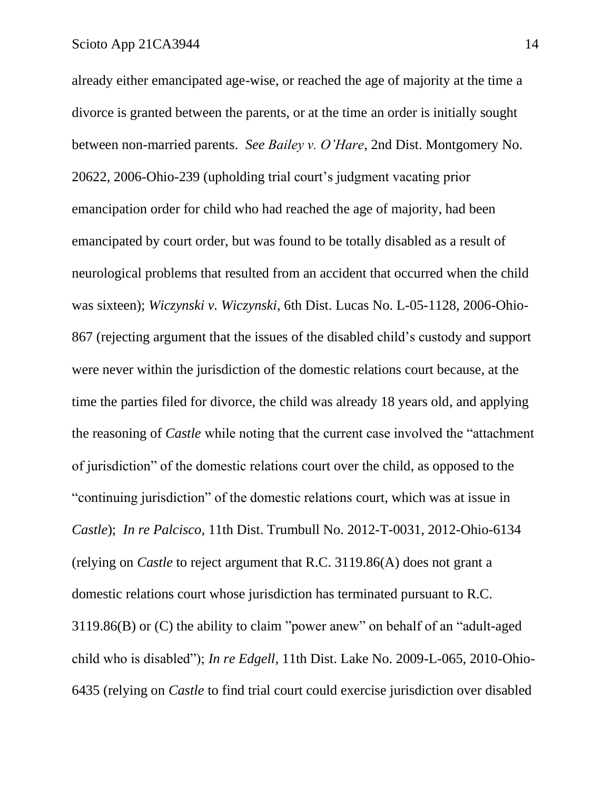already either emancipated age-wise, or reached the age of majority at the time a divorce is granted between the parents, or at the time an order is initially sought between non-married parents. *See Bailey v. O'Hare*, 2nd Dist. Montgomery No. 20622, 2006-Ohio-239 (upholding trial court's judgment vacating prior emancipation order for child who had reached the age of majority, had been emancipated by court order, but was found to be totally disabled as a result of neurological problems that resulted from an accident that occurred when the child was sixteen); *Wiczynski v. Wiczynski*, 6th Dist. Lucas No. L-05-1128, 2006-Ohio-867 (rejecting argument that the issues of the disabled child's custody and support were never within the jurisdiction of the domestic relations court because, at the time the parties filed for divorce, the child was already 18 years old, and applying the reasoning of *Castle* while noting that the current case involved the "attachment of jurisdiction" of the domestic relations court over the child, as opposed to the "continuing jurisdiction" of the domestic relations court, which was at issue in *Castle*); *In re Palcisco*, 11th Dist. Trumbull No. 2012-T-0031, 2012-Ohio-6134 (relying on *Castle* to reject argument that R.C. 3119.86(A) does not grant a domestic relations court whose jurisdiction has terminated pursuant to R.C. 3119.86(B) or (C) the ability to claim "power anew" on behalf of an "adult-aged child who is disabled"); *In re Edgell*, 11th Dist. Lake No. 2009-L-065, 2010-Ohio-6435 (relying on *Castle* to find trial court could exercise jurisdiction over disabled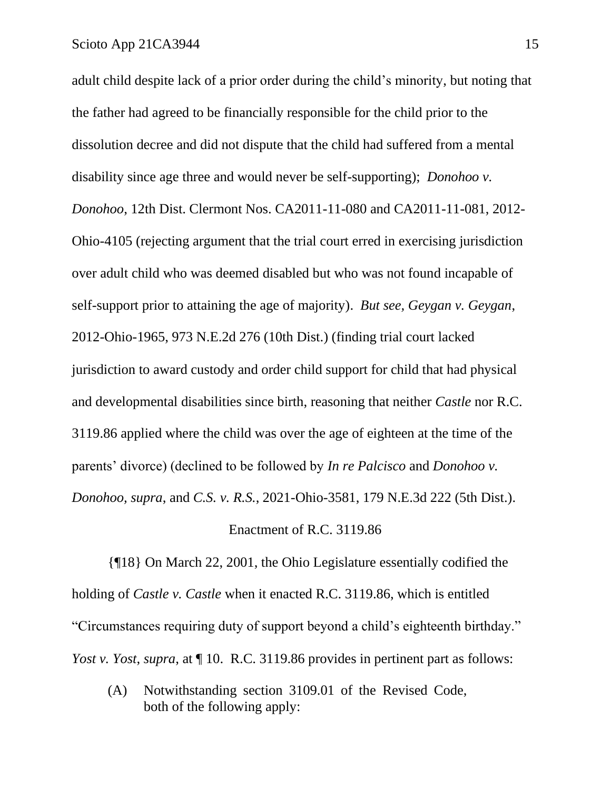adult child despite lack of a prior order during the child's minority, but noting that the father had agreed to be financially responsible for the child prior to the dissolution decree and did not dispute that the child had suffered from a mental disability since age three and would never be self-supporting); *Donohoo v. Donohoo*, 12th Dist. Clermont Nos. CA2011-11-080 and CA2011-11-081, 2012- Ohio-4105 (rejecting argument that the trial court erred in exercising jurisdiction over adult child who was deemed disabled but who was not found incapable of self-support prior to attaining the age of majority). *But see, Geygan v. Geygan*, 2012-Ohio-1965, 973 N.E.2d 276 (10th Dist.) (finding trial court lacked jurisdiction to award custody and order child support for child that had physical and developmental disabilities since birth, reasoning that neither *Castle* nor R.C. 3119.86 applied where the child was over the age of eighteen at the time of the parents' divorce) (declined to be followed by *In re Palcisco* and *Donohoo v. Donohoo, supra*, and *C.S. v. R.S.*, 2021-Ohio-3581, 179 N.E.3d 222 (5th Dist.).

#### Enactment of R.C. 3119.86

{¶18} On March 22, 2001, the Ohio Legislature essentially codified the holding of *Castle v. Castle* when it enacted R.C. 3119.86, which is entitled "Circumstances requiring duty of support beyond a child's eighteenth birthday." *Yost v. Yost, supra, at*  $\P$  10. R.C. 3119.86 provides in pertinent part as follows:

(A) Notwithstanding section 3109.01 of the Revised Code, both of the following apply: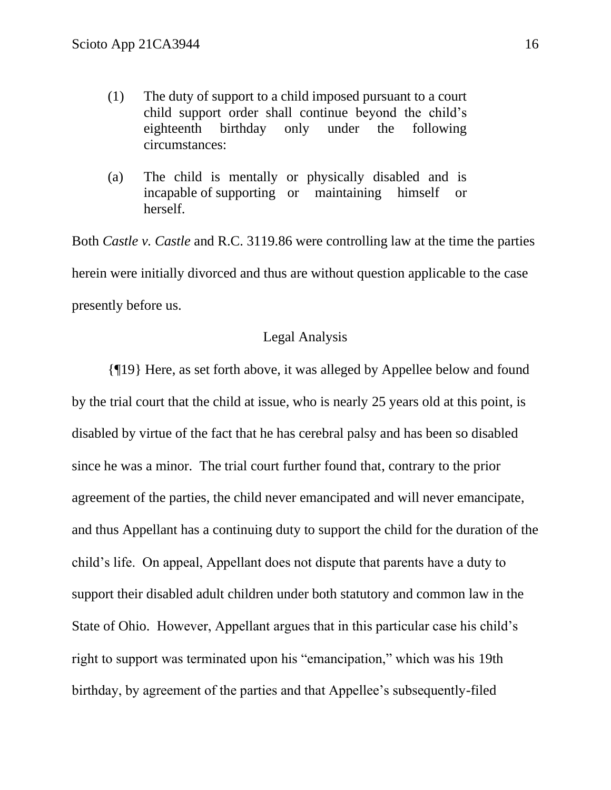- (1) The duty of support to a child imposed pursuant to a court child support order shall continue beyond the child's eighteenth birthday only under the following circumstances:
- (a) The child is mentally or physically disabled and is incapable of supporting or maintaining himself or herself.

Both *Castle v. Castle* and R.C. 3119.86 were controlling law at the time the parties herein were initially divorced and thus are without question applicable to the case presently before us.

## Legal Analysis

{¶19} Here, as set forth above, it was alleged by Appellee below and found by the trial court that the child at issue, who is nearly 25 years old at this point, is disabled by virtue of the fact that he has cerebral palsy and has been so disabled since he was a minor. The trial court further found that, contrary to the prior agreement of the parties, the child never emancipated and will never emancipate, and thus Appellant has a continuing duty to support the child for the duration of the child's life. On appeal, Appellant does not dispute that parents have a duty to support their disabled adult children under both statutory and common law in the State of Ohio. However, Appellant argues that in this particular case his child's right to support was terminated upon his "emancipation," which was his 19th birthday, by agreement of the parties and that Appellee's subsequently-filed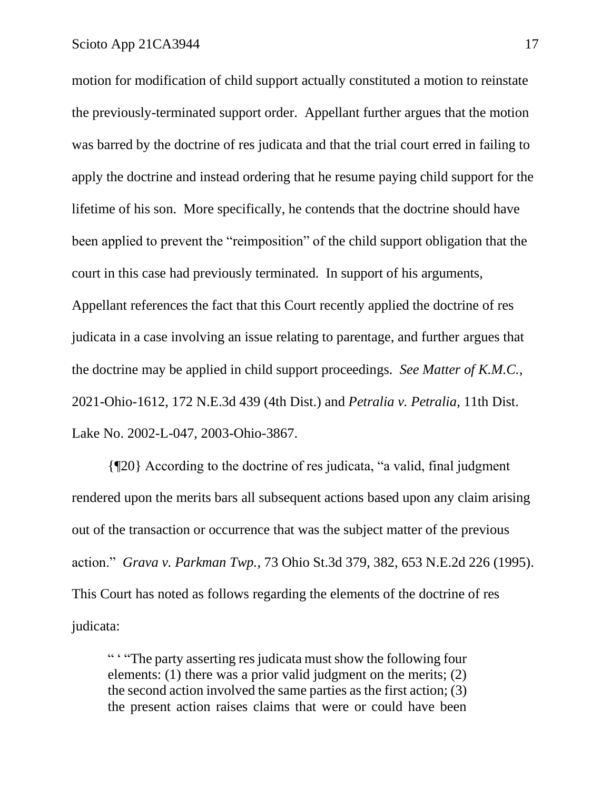motion for modification of child support actually constituted a motion to reinstate the previously-terminated support order. Appellant further argues that the motion was barred by the doctrine of res judicata and that the trial court erred in failing to apply the doctrine and instead ordering that he resume paying child support for the lifetime of his son. More specifically, he contends that the doctrine should have been applied to prevent the "reimposition" of the child support obligation that the court in this case had previously terminated. In support of his arguments, Appellant references the fact that this Court recently applied the doctrine of res judicata in a case involving an issue relating to parentage, and further argues that the doctrine may be applied in child support proceedings. *See Matter of K.M.C.*, 2021-Ohio-1612, 172 N.E.3d 439 (4th Dist.) and *Petralia v. Petralia*, 11th Dist. Lake No. 2002-L-047, 2003-Ohio-3867.

{¶20} According to the doctrine of res judicata, "a valid, final judgment rendered upon the merits bars all subsequent actions based upon any claim arising out of the transaction or occurrence that was the subject matter of the previous action." *Grava v. Parkman Twp.*, 73 Ohio St.3d 379, 382, 653 N.E.2d 226 (1995). This Court has noted as follows regarding the elements of the doctrine of res judicata:

" ' "The party asserting res judicata must show the following four elements: (1) there was a prior valid judgment on the merits; (2) the second action involved the same parties as the first action; (3) the present action raises claims that were or could have been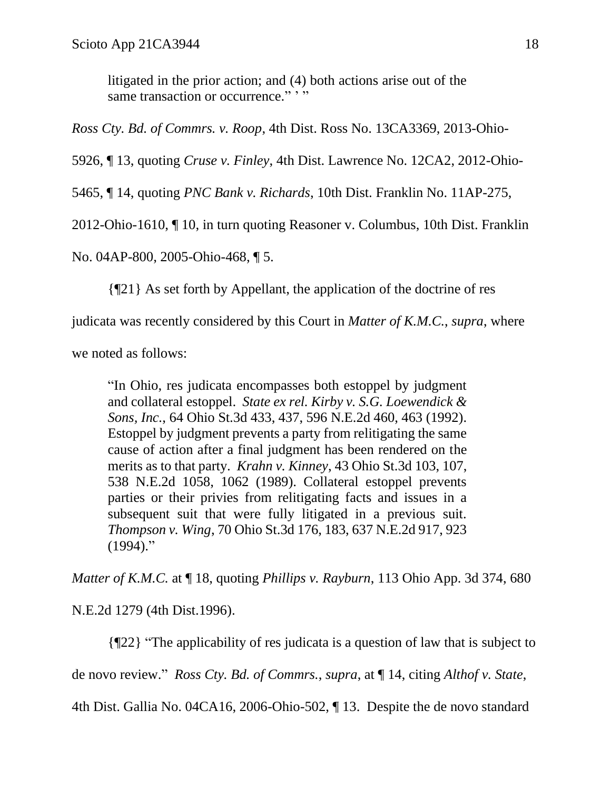litigated in the prior action; and (4) both actions arise out of the same transaction or occurrence." "

*Ross Cty. Bd. of Commrs. v. Roop*, 4th Dist. Ross No. 13CA3369, 2013-Ohio-

5926, ¶ 13, quoting *Cruse v. Finley*, 4th Dist. Lawrence No. 12CA2, 2012-Ohio-

5465, ¶ 14, quoting *PNC Bank v. Richards*, 10th Dist. Franklin No. 11AP-275,

2012-Ohio-1610, ¶ 10, in turn quoting Reasoner v. Columbus, 10th Dist. Franklin

No. 04AP-800, 2005-Ohio-468, ¶ 5.

{¶21} As set forth by Appellant, the application of the doctrine of res

judicata was recently considered by this Court in *Matter of K.M.C.*, *supra*, where

we noted as follows:

"In Ohio, res judicata encompasses both estoppel by judgment and collateral estoppel. *State ex rel. Kirby v. S.G. Loewendick & Sons, Inc.*, 64 Ohio St.3d 433, 437, 596 N.E.2d 460, 463 (1992). Estoppel by judgment prevents a party from relitigating the same cause of action after a final judgment has been rendered on the merits as to that party. *Krahn v. Kinney*, 43 Ohio St.3d 103, 107, 538 N.E.2d 1058, 1062 (1989). Collateral estoppel prevents parties or their privies from relitigating facts and issues in a subsequent suit that were fully litigated in a previous suit. *Thompson v. Wing*, 70 Ohio St.3d 176, 183, 637 N.E.2d 917, 923  $(1994)$ ."

*Matter of K.M.C.* at ¶ 18, quoting *Phillips v. Rayburn*, 113 Ohio App. 3d 374, 680

N.E.2d 1279 (4th Dist.1996).

{¶22} "The applicability of res judicata is a question of law that is subject to

de novo review." *Ross Cty. Bd. of Commrs.*, *supra*, at ¶ 14, citing *Althof v. State*,

4th Dist. Gallia No. 04CA16, 2006-Ohio-502, ¶ 13. Despite the de novo standard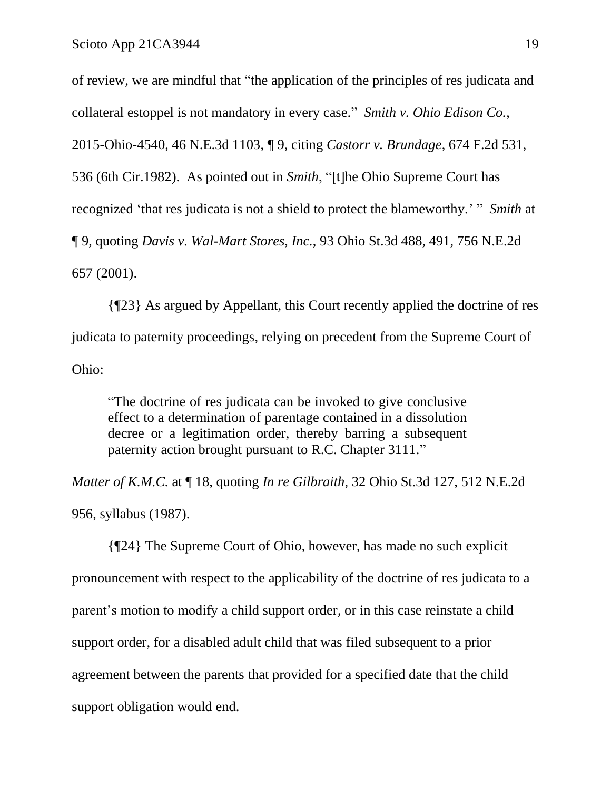of review, we are mindful that "the application of the principles of res judicata and collateral estoppel is not mandatory in every case." *Smith v. Ohio Edison Co.*, 2015-Ohio-4540, 46 N.E.3d 1103, ¶ 9, citing *Castorr v. Brundage*, 674 F.2d 531, 536 (6th Cir.1982). As pointed out in *Smith*, "[t]he Ohio Supreme Court has recognized 'that res judicata is not a shield to protect the blameworthy.' " *Smith* at ¶ 9, quoting *Davis v. Wal-Mart Stores, Inc.*, 93 Ohio St.3d 488, 491, 756 N.E.2d 657 (2001).

{¶23} As argued by Appellant, this Court recently applied the doctrine of res judicata to paternity proceedings, relying on precedent from the Supreme Court of Ohio:

"The doctrine of res judicata can be invoked to give conclusive effect to a determination of parentage contained in a dissolution decree or a legitimation order, thereby barring a subsequent paternity action brought pursuant to R.C. Chapter 3111."

*Matter of K.M.C.* at ¶ 18, quoting *In re Gilbraith*, 32 Ohio St.3d 127, 512 N.E.2d 956, syllabus (1987).

{¶24} The Supreme Court of Ohio, however, has made no such explicit pronouncement with respect to the applicability of the doctrine of res judicata to a parent's motion to modify a child support order, or in this case reinstate a child support order, for a disabled adult child that was filed subsequent to a prior agreement between the parents that provided for a specified date that the child support obligation would end.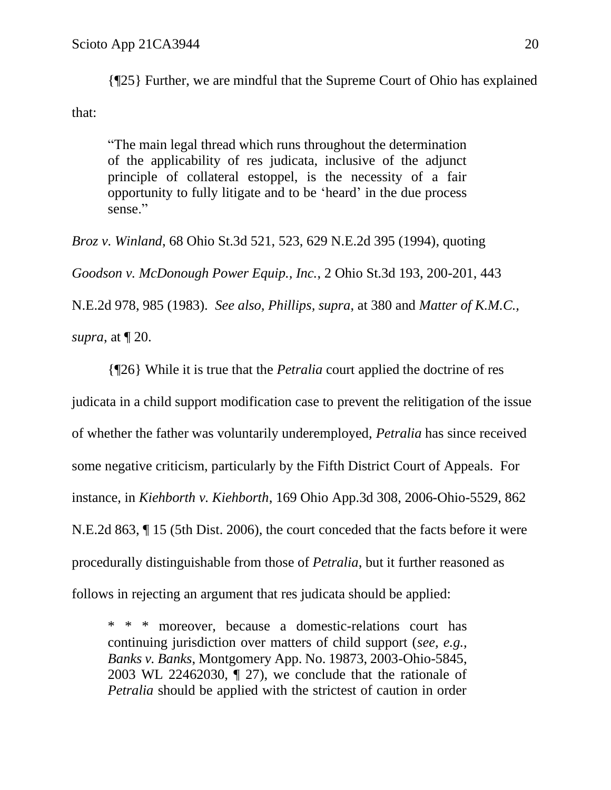{¶25} Further, we are mindful that the Supreme Court of Ohio has explained that:

"The main legal thread which runs throughout the determination of the applicability of res judicata, inclusive of the adjunct principle of collateral estoppel, is the necessity of a fair opportunity to fully litigate and to be 'heard' in the due process sense."

*Broz v. Winland*, 68 Ohio St.3d 521, 523, 629 N.E.2d 395 (1994), quoting *Goodson v. McDonough Power Equip., Inc.*, 2 Ohio St.3d 193, 200-201, 443 N.E.2d 978, 985 (1983). *See also, Phillips, supra*, at 380 and *Matter of K.M.C., supra*, at ¶ 20.

{¶26} While it is true that the *Petralia* court applied the doctrine of res judicata in a child support modification case to prevent the relitigation of the issue of whether the father was voluntarily underemployed, *Petralia* has since received some negative criticism, particularly by the Fifth District Court of Appeals. For instance, in *Kiehborth v. Kiehborth*, 169 Ohio App.3d 308, 2006-Ohio-5529, 862 N.E.2d 863, ¶ 15 (5th Dist. 2006), the court conceded that the facts before it were procedurally distinguishable from those of *Petralia*, but it further reasoned as follows in rejecting an argument that res judicata should be applied:

\* \* \* moreover, because a domestic-relations court has continuing jurisdiction over matters of child support (*see, e.g., Banks v. Banks*, Montgomery App. No. 19873, 2003-Ohio-5845, 2003 WL 22462030, ¶ 27), we conclude that the rationale of *Petralia* should be applied with the strictest of caution in order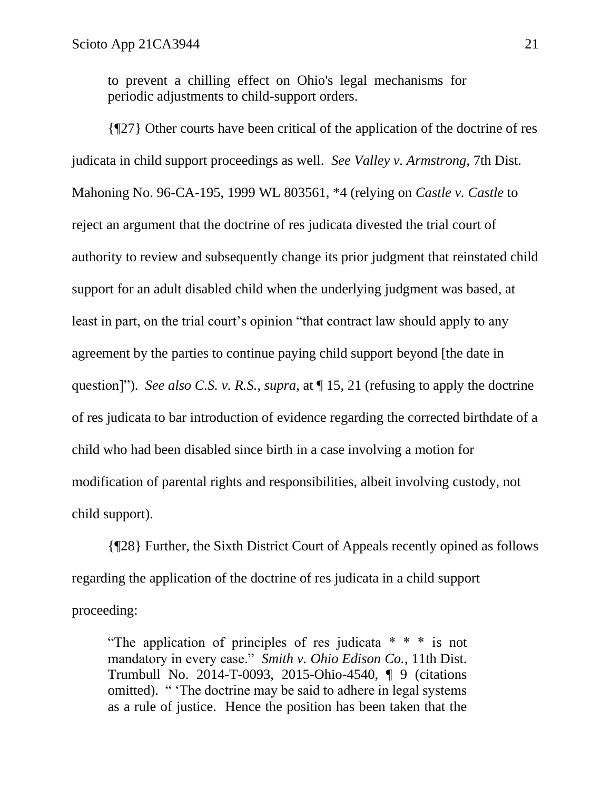to prevent a chilling effect on Ohio's legal mechanisms for periodic adjustments to child-support orders.

{¶27} Other courts have been critical of the application of the doctrine of res judicata in child support proceedings as well. *See Valley v. Armstrong*, 7th Dist. Mahoning No. 96-CA-195, 1999 WL 803561, \*4 (relying on *Castle v. Castle* to reject an argument that the doctrine of res judicata divested the trial court of authority to review and subsequently change its prior judgment that reinstated child support for an adult disabled child when the underlying judgment was based, at least in part, on the trial court's opinion "that contract law should apply to any agreement by the parties to continue paying child support beyond [the date in question]"). *See also C.S. v. R.S.*, *supra*, at ¶ 15, 21 (refusing to apply the doctrine of res judicata to bar introduction of evidence regarding the corrected birthdate of a child who had been disabled since birth in a case involving a motion for modification of parental rights and responsibilities, albeit involving custody, not child support).

{¶28} Further, the Sixth District Court of Appeals recently opined as follows regarding the application of the doctrine of res judicata in a child support proceeding:

"The application of principles of res judicata \* \* \* is not mandatory in every case." *Smith v. Ohio Edison Co.*, 11th Dist. Trumbull No. 2014-T-0093, 2015-Ohio-4540, ¶ 9 (citations omitted). " 'The doctrine may be said to adhere in legal systems as a rule of justice. Hence the position has been taken that the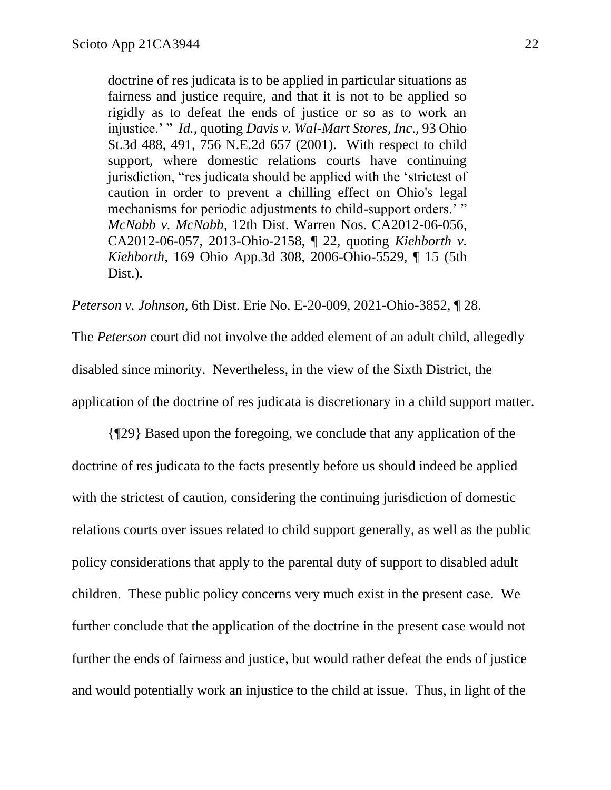doctrine of res judicata is to be applied in particular situations as fairness and justice require, and that it is not to be applied so rigidly as to defeat the ends of justice or so as to work an injustice.' " *Id.*, quoting *Davis v. Wal-Mart Stores, Inc*., 93 Ohio St.3d 488, 491, 756 N.E.2d 657 (2001). With respect to child support, where domestic relations courts have continuing jurisdiction, "res judicata should be applied with the 'strictest of caution in order to prevent a chilling effect on Ohio's legal mechanisms for periodic adjustments to child-support orders.' " *McNabb v. McNabb*, 12th Dist. Warren Nos. CA2012-06-056, CA2012-06-057, 2013-Ohio-2158, ¶ 22, quoting *Kiehborth v. Kiehborth*, 169 Ohio App.3d 308, 2006-Ohio-5529, ¶ 15 (5th Dist.).

*Peterson v. Johnson*, 6th Dist. Erie No. E-20-009, 2021-Ohio-3852, ¶ 28.

The *Peterson* court did not involve the added element of an adult child, allegedly disabled since minority. Nevertheless, in the view of the Sixth District, the application of the doctrine of res judicata is discretionary in a child support matter.

{¶29} Based upon the foregoing, we conclude that any application of the doctrine of res judicata to the facts presently before us should indeed be applied with the strictest of caution, considering the continuing jurisdiction of domestic relations courts over issues related to child support generally, as well as the public policy considerations that apply to the parental duty of support to disabled adult children. These public policy concerns very much exist in the present case. We further conclude that the application of the doctrine in the present case would not further the ends of fairness and justice, but would rather defeat the ends of justice and would potentially work an injustice to the child at issue. Thus, in light of the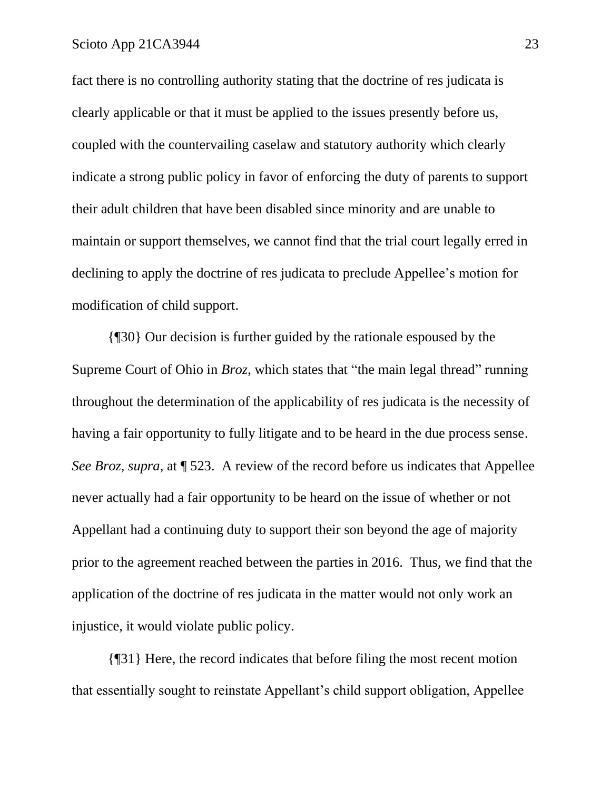fact there is no controlling authority stating that the doctrine of res judicata is clearly applicable or that it must be applied to the issues presently before us, coupled with the countervailing caselaw and statutory authority which clearly indicate a strong public policy in favor of enforcing the duty of parents to support their adult children that have been disabled since minority and are unable to maintain or support themselves, we cannot find that the trial court legally erred in declining to apply the doctrine of res judicata to preclude Appellee's motion for modification of child support.

{¶30} Our decision is further guided by the rationale espoused by the Supreme Court of Ohio in *Broz*, which states that "the main legal thread" running throughout the determination of the applicability of res judicata is the necessity of having a fair opportunity to fully litigate and to be heard in the due process sense. *See Broz, supra*, at  $\sqrt{ }$  523. A review of the record before us indicates that Appellee never actually had a fair opportunity to be heard on the issue of whether or not Appellant had a continuing duty to support their son beyond the age of majority prior to the agreement reached between the parties in 2016. Thus, we find that the application of the doctrine of res judicata in the matter would not only work an injustice, it would violate public policy.

{¶31} Here, the record indicates that before filing the most recent motion that essentially sought to reinstate Appellant's child support obligation, Appellee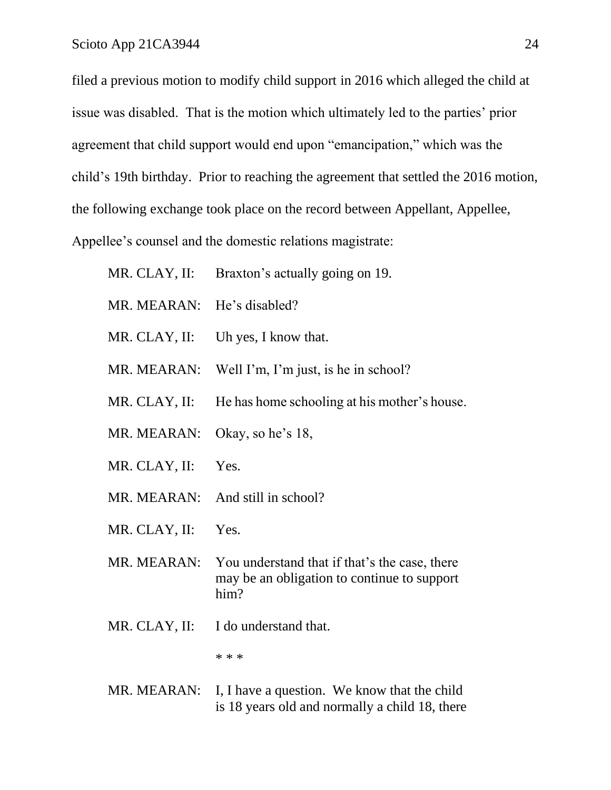filed a previous motion to modify child support in 2016 which alleged the child at issue was disabled. That is the motion which ultimately led to the parties' prior agreement that child support would end upon "emancipation," which was the child's 19th birthday. Prior to reaching the agreement that settled the 2016 motion, the following exchange took place on the record between Appellant, Appellee, Appellee's counsel and the domestic relations magistrate:

| MR. CLAY, II: | Braxton's actually going on 19.                                                                      |
|---------------|------------------------------------------------------------------------------------------------------|
| MR. MEARAN:   | He's disabled?                                                                                       |
| MR. CLAY, II: | Uh yes, I know that.                                                                                 |
| MR. MEARAN:   | Well I'm, I'm just, is he in school?                                                                 |
| MR. CLAY, II: | He has home schooling at his mother's house.                                                         |
| MR. MEARAN:   | Okay, so he's 18,                                                                                    |
| MR. CLAY, II: | Yes.                                                                                                 |
| MR. MEARAN:   | And still in school?                                                                                 |
| MR. CLAY, II: | Yes.                                                                                                 |
| MR. MEARAN:   | You understand that if that's the case, there<br>may be an obligation to continue to support<br>him? |
| MR. CLAY, II: | I do understand that.                                                                                |
|               | * * *                                                                                                |
| MR. MEARAN:   | I, I have a question. We know that the child<br>is 18 years old and normally a child 18, there       |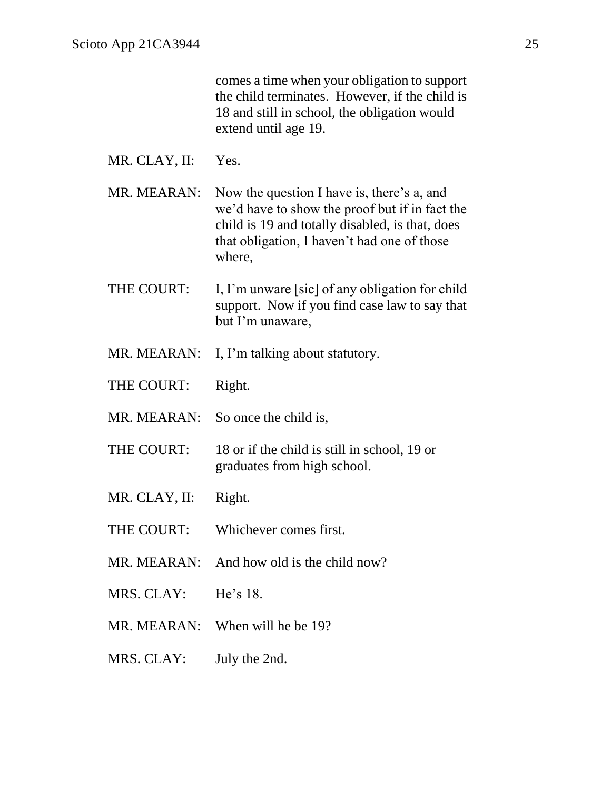|               | comes a time when your obligation to support<br>the child terminates. However, if the child is<br>18 and still in school, the obligation would<br>extend until age 19.                                   |
|---------------|----------------------------------------------------------------------------------------------------------------------------------------------------------------------------------------------------------|
| MR. CLAY, II: | Yes.                                                                                                                                                                                                     |
| MR. MEARAN:   | Now the question I have is, there's a, and<br>we'd have to show the proof but if in fact the<br>child is 19 and totally disabled, is that, does<br>that obligation, I haven't had one of those<br>where, |
| THE COURT:    | I, I'm unware [sic] of any obligation for child<br>support. Now if you find case law to say that<br>but I'm unaware,                                                                                     |
| MR. MEARAN:   | I, I'm talking about statutory.                                                                                                                                                                          |
| THE COURT:    | Right.                                                                                                                                                                                                   |
| MR. MEARAN:   | So once the child is,                                                                                                                                                                                    |
| THE COURT:    | 18 or if the child is still in school, 19 or<br>graduates from high school.                                                                                                                              |
| MR. CLAY, II: | Right.                                                                                                                                                                                                   |
|               | THE COURT: Whichever comes first.                                                                                                                                                                        |
|               | MR. MEARAN: And how old is the child now?                                                                                                                                                                |
| MRS. CLAY:    | He's $18$ .                                                                                                                                                                                              |
| MR. MEARAN:   | When will he be 19?                                                                                                                                                                                      |
| MRS. CLAY:    | July the 2nd.                                                                                                                                                                                            |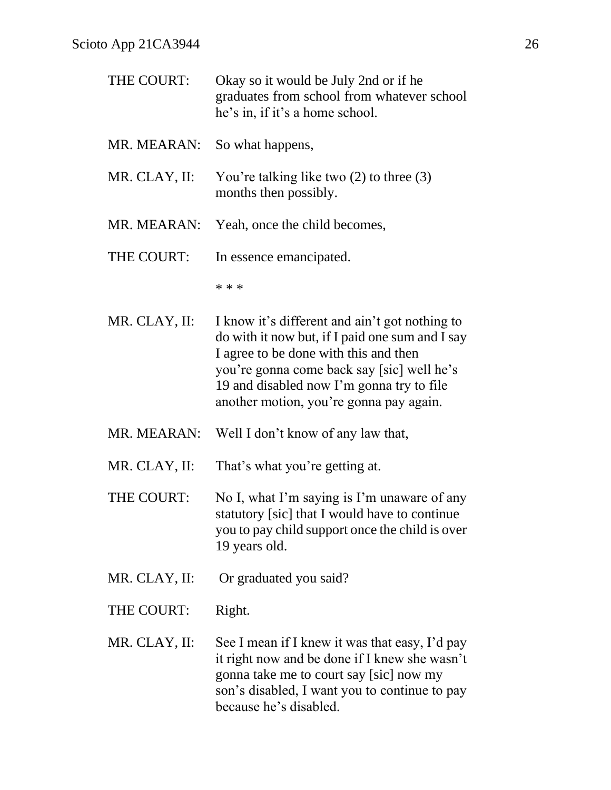| THE COURT:    | Okay so it would be July 2nd or if he<br>graduates from school from whatever school<br>he's in, if it's a home school.                                                                                                                                                           |
|---------------|----------------------------------------------------------------------------------------------------------------------------------------------------------------------------------------------------------------------------------------------------------------------------------|
| MR. MEARAN:   | So what happens,                                                                                                                                                                                                                                                                 |
| MR. CLAY, II: | You're talking like two $(2)$ to three $(3)$<br>months then possibly.                                                                                                                                                                                                            |
| MR. MEARAN:   | Yeah, once the child becomes,                                                                                                                                                                                                                                                    |
| THE COURT:    | In essence emancipated.                                                                                                                                                                                                                                                          |
|               | * * *                                                                                                                                                                                                                                                                            |
| MR. CLAY, II: | I know it's different and ain't got nothing to<br>do with it now but, if I paid one sum and I say<br>I agree to be done with this and then<br>you're gonna come back say [sic] well he's<br>19 and disabled now I'm gonna try to file<br>another motion, you're gonna pay again. |
| MR. MEARAN:   | Well I don't know of any law that,                                                                                                                                                                                                                                               |
| MR. CLAY, II: | That's what you're getting at.                                                                                                                                                                                                                                                   |
| THE COURT:    | No I, what I'm saying is I'm unaware of any<br>statutory [sic] that I would have to continue<br>you to pay child support once the child is over<br>19 years old.                                                                                                                 |
| MR. CLAY, II: | Or graduated you said?                                                                                                                                                                                                                                                           |
| THE COURT:    | Right.                                                                                                                                                                                                                                                                           |
| MR. CLAY, II: | See I mean if I knew it was that easy, I'd pay<br>it right now and be done if I knew she wasn't<br>gonna take me to court say [sic] now my<br>son's disabled, I want you to continue to pay<br>because he's disabled.                                                            |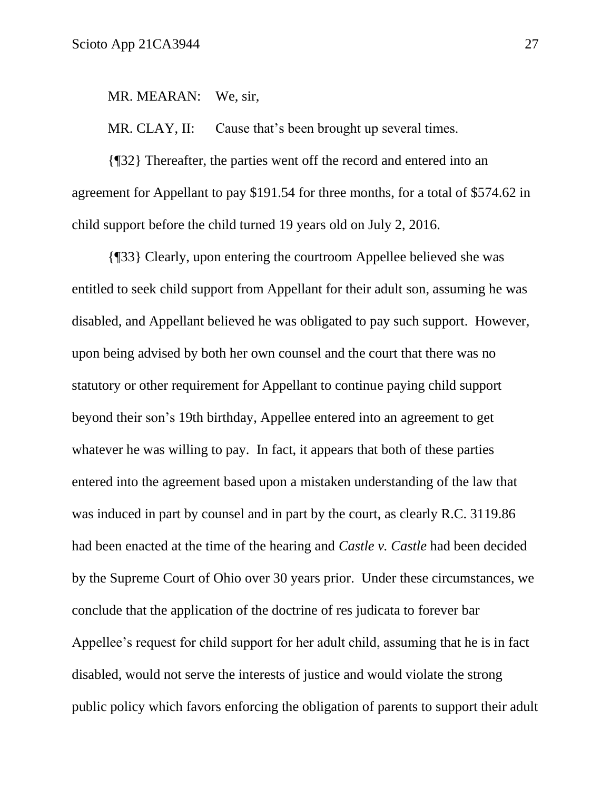MR. MEARAN: We, sir,

MR. CLAY, II: Cause that's been brought up several times.

{¶32} Thereafter, the parties went off the record and entered into an agreement for Appellant to pay \$191.54 for three months, for a total of \$574.62 in child support before the child turned 19 years old on July 2, 2016.

{¶33} Clearly, upon entering the courtroom Appellee believed she was entitled to seek child support from Appellant for their adult son, assuming he was disabled, and Appellant believed he was obligated to pay such support. However, upon being advised by both her own counsel and the court that there was no statutory or other requirement for Appellant to continue paying child support beyond their son's 19th birthday, Appellee entered into an agreement to get whatever he was willing to pay. In fact, it appears that both of these parties entered into the agreement based upon a mistaken understanding of the law that was induced in part by counsel and in part by the court, as clearly R.C. 3119.86 had been enacted at the time of the hearing and *Castle v. Castle* had been decided by the Supreme Court of Ohio over 30 years prior. Under these circumstances, we conclude that the application of the doctrine of res judicata to forever bar Appellee's request for child support for her adult child, assuming that he is in fact disabled, would not serve the interests of justice and would violate the strong public policy which favors enforcing the obligation of parents to support their adult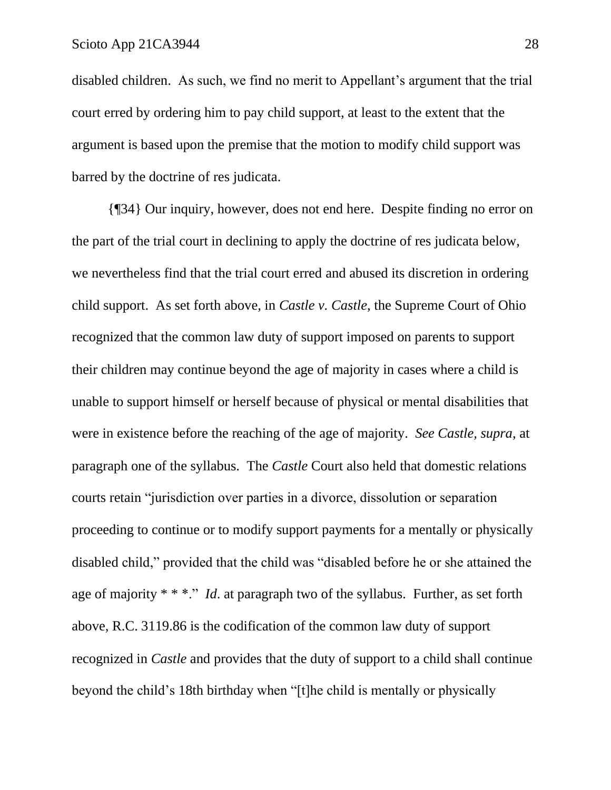disabled children. As such, we find no merit to Appellant's argument that the trial court erred by ordering him to pay child support, at least to the extent that the argument is based upon the premise that the motion to modify child support was barred by the doctrine of res judicata.

{¶34} Our inquiry, however, does not end here. Despite finding no error on the part of the trial court in declining to apply the doctrine of res judicata below, we nevertheless find that the trial court erred and abused its discretion in ordering child support. As set forth above, in *Castle v. Castle*, the Supreme Court of Ohio recognized that the common law duty of support imposed on parents to support their children may continue beyond the age of majority in cases where a child is unable to support himself or herself because of physical or mental disabilities that were in existence before the reaching of the age of majority. *See Castle, supra*, at paragraph one of the syllabus. The *Castle* Court also held that domestic relations courts retain "jurisdiction over parties in a divorce, dissolution or separation proceeding to continue or to modify support payments for a mentally or physically disabled child," provided that the child was "disabled before he or she attained the age of majority \* \* \*." *Id*. at paragraph two of the syllabus. Further, as set forth above, R.C. 3119.86 is the codification of the common law duty of support recognized in *Castle* and provides that the duty of support to a child shall continue beyond the child's 18th birthday when "[t]he child is mentally or physically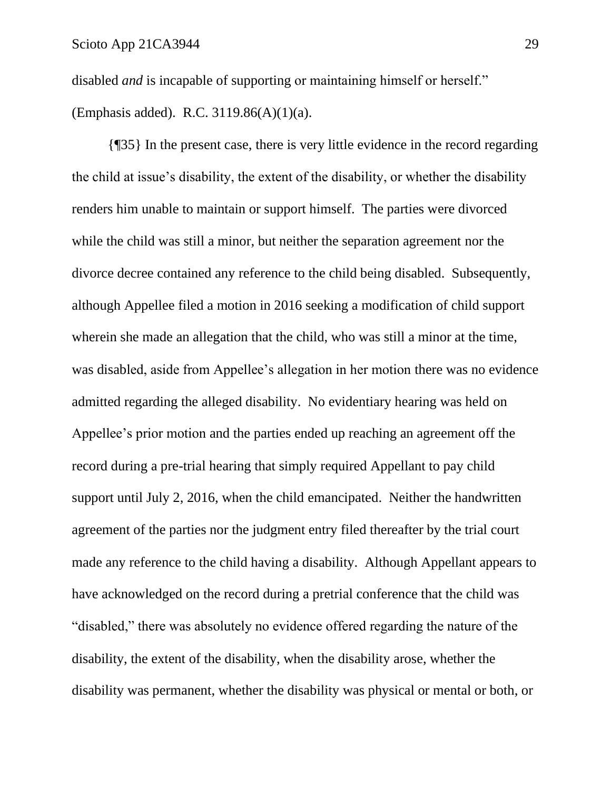disabled *and* is incapable of supporting or maintaining himself or herself." (Emphasis added). R.C. 3119.86(A)(1)(a).

{¶35} In the present case, there is very little evidence in the record regarding the child at issue's disability, the extent of the disability, or whether the disability renders him unable to maintain or support himself. The parties were divorced while the child was still a minor, but neither the separation agreement nor the divorce decree contained any reference to the child being disabled. Subsequently, although Appellee filed a motion in 2016 seeking a modification of child support wherein she made an allegation that the child, who was still a minor at the time, was disabled, aside from Appellee's allegation in her motion there was no evidence admitted regarding the alleged disability. No evidentiary hearing was held on Appellee's prior motion and the parties ended up reaching an agreement off the record during a pre-trial hearing that simply required Appellant to pay child support until July 2, 2016, when the child emancipated. Neither the handwritten agreement of the parties nor the judgment entry filed thereafter by the trial court made any reference to the child having a disability. Although Appellant appears to have acknowledged on the record during a pretrial conference that the child was "disabled," there was absolutely no evidence offered regarding the nature of the disability, the extent of the disability, when the disability arose, whether the disability was permanent, whether the disability was physical or mental or both, or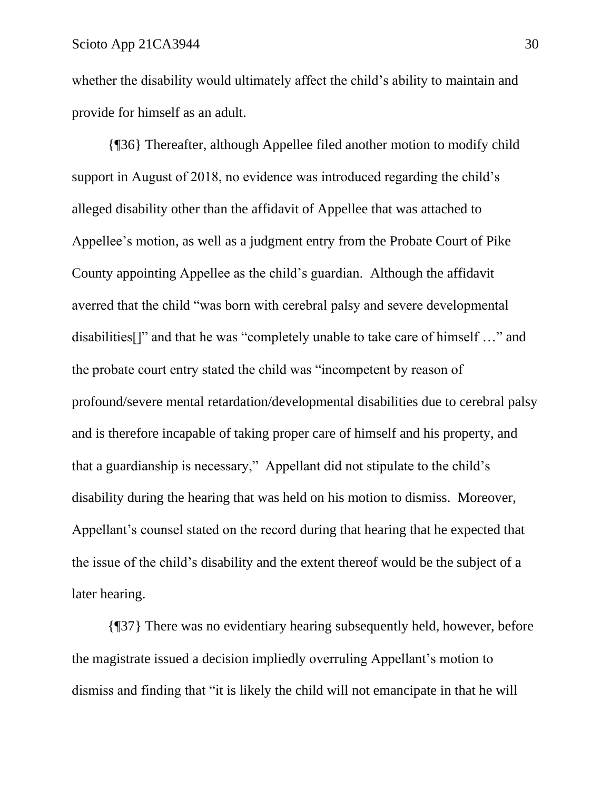whether the disability would ultimately affect the child's ability to maintain and provide for himself as an adult.

{¶36} Thereafter, although Appellee filed another motion to modify child support in August of 2018, no evidence was introduced regarding the child's alleged disability other than the affidavit of Appellee that was attached to Appellee's motion, as well as a judgment entry from the Probate Court of Pike County appointing Appellee as the child's guardian. Although the affidavit averred that the child "was born with cerebral palsy and severe developmental disabilities[]" and that he was "completely unable to take care of himself …" and the probate court entry stated the child was "incompetent by reason of profound/severe mental retardation/developmental disabilities due to cerebral palsy and is therefore incapable of taking proper care of himself and his property, and that a guardianship is necessary," Appellant did not stipulate to the child's disability during the hearing that was held on his motion to dismiss. Moreover, Appellant's counsel stated on the record during that hearing that he expected that the issue of the child's disability and the extent thereof would be the subject of a later hearing.

{¶37} There was no evidentiary hearing subsequently held, however, before the magistrate issued a decision impliedly overruling Appellant's motion to dismiss and finding that "it is likely the child will not emancipate in that he will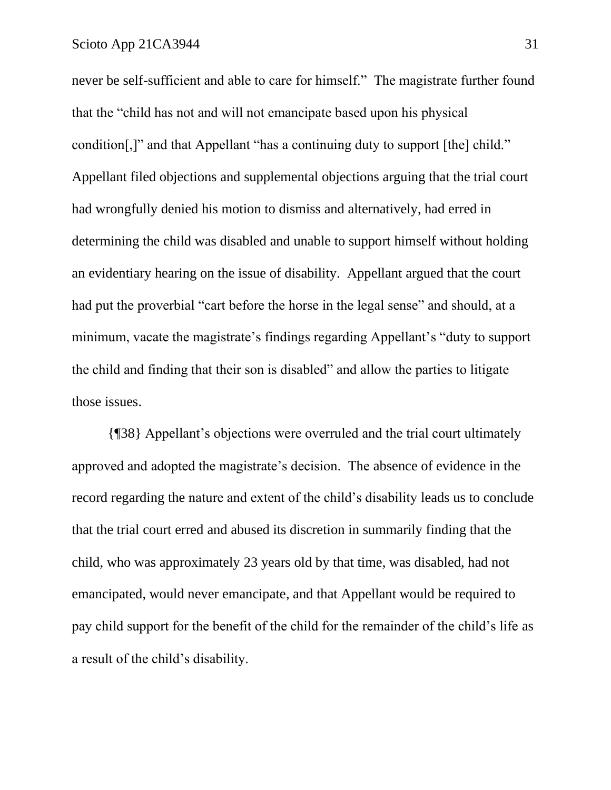never be self-sufficient and able to care for himself." The magistrate further found that the "child has not and will not emancipate based upon his physical condition[,]" and that Appellant "has a continuing duty to support [the] child." Appellant filed objections and supplemental objections arguing that the trial court had wrongfully denied his motion to dismiss and alternatively, had erred in determining the child was disabled and unable to support himself without holding an evidentiary hearing on the issue of disability. Appellant argued that the court had put the proverbial "cart before the horse in the legal sense" and should, at a minimum, vacate the magistrate's findings regarding Appellant's "duty to support the child and finding that their son is disabled" and allow the parties to litigate those issues.

{¶38} Appellant's objections were overruled and the trial court ultimately approved and adopted the magistrate's decision. The absence of evidence in the record regarding the nature and extent of the child's disability leads us to conclude that the trial court erred and abused its discretion in summarily finding that the child, who was approximately 23 years old by that time, was disabled, had not emancipated, would never emancipate, and that Appellant would be required to pay child support for the benefit of the child for the remainder of the child's life as a result of the child's disability.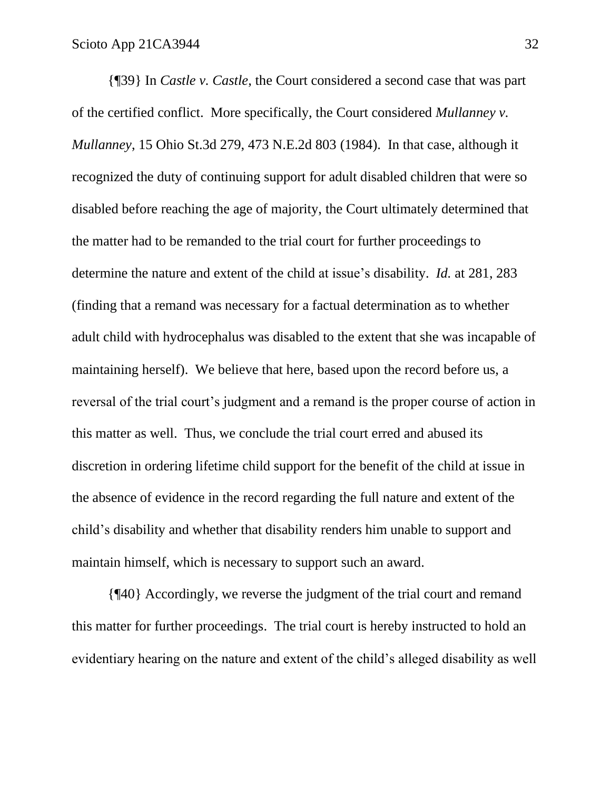{¶39} In *Castle v. Castle*, the Court considered a second case that was part of the certified conflict. More specifically, the Court considered *Mullanney v. Mullanney*, 15 Ohio St.3d 279, 473 N.E.2d 803 (1984). In that case, although it recognized the duty of continuing support for adult disabled children that were so disabled before reaching the age of majority, the Court ultimately determined that the matter had to be remanded to the trial court for further proceedings to determine the nature and extent of the child at issue's disability. *Id.* at 281, 283 (finding that a remand was necessary for a factual determination as to whether adult child with hydrocephalus was disabled to the extent that she was incapable of maintaining herself). We believe that here, based upon the record before us, a reversal of the trial court's judgment and a remand is the proper course of action in this matter as well. Thus, we conclude the trial court erred and abused its discretion in ordering lifetime child support for the benefit of the child at issue in the absence of evidence in the record regarding the full nature and extent of the child's disability and whether that disability renders him unable to support and maintain himself, which is necessary to support such an award.

{¶40} Accordingly, we reverse the judgment of the trial court and remand this matter for further proceedings. The trial court is hereby instructed to hold an evidentiary hearing on the nature and extent of the child's alleged disability as well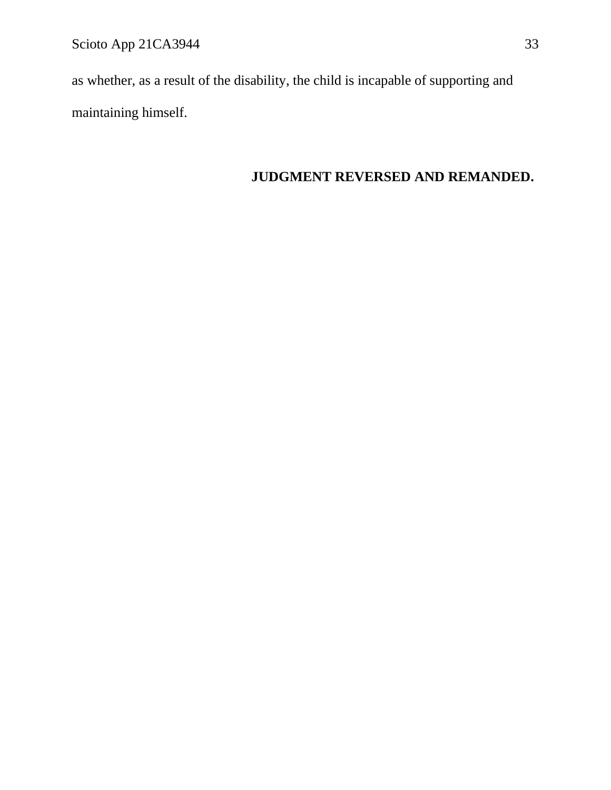Scioto App 21CA3944 33

as whether, as a result of the disability, the child is incapable of supporting and maintaining himself.

# **JUDGMENT REVERSED AND REMANDED.**